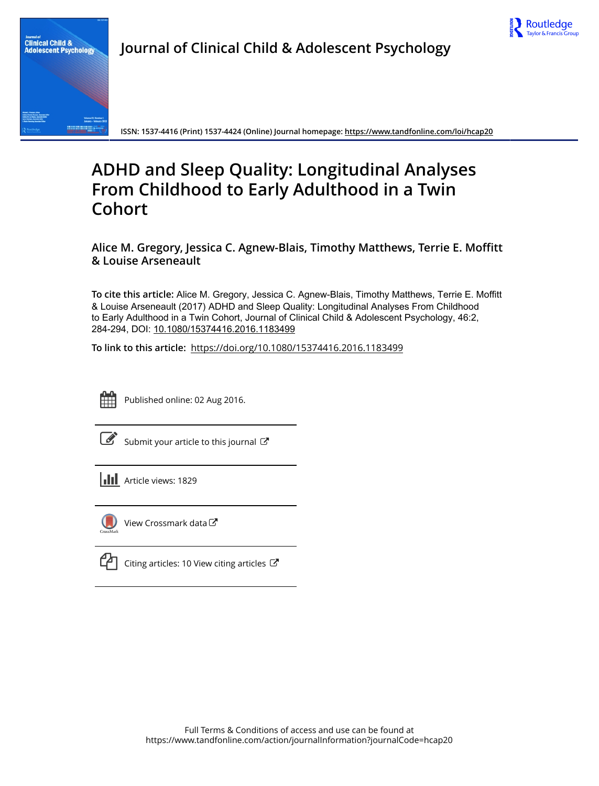

# **Clinical Child &<br>Clinical Child &<br>Adolescent Psychology**

**Journal of Clinical Child & Adolescent Psychology**

**ISSN: 1537-4416 (Print) 1537-4424 (Online) Journal homepage:<https://www.tandfonline.com/loi/hcap20>**

# **ADHD and Sleep Quality: Longitudinal Analyses From Childhood to Early Adulthood in a Twin Cohort**

**Alice M. Gregory, Jessica C. Agnew-Blais, Timothy Matthews, Terrie E. Moffitt & Louise Arseneault**

**To cite this article:** Alice M. Gregory, Jessica C. Agnew-Blais, Timothy Matthews, Terrie E. Moffitt & Louise Arseneault (2017) ADHD and Sleep Quality: Longitudinal Analyses From Childhood to Early Adulthood in a Twin Cohort, Journal of Clinical Child & Adolescent Psychology, 46:2, 284-294, DOI: [10.1080/15374416.2016.1183499](https://www.tandfonline.com/action/showCitFormats?doi=10.1080/15374416.2016.1183499)

**To link to this article:** <https://doi.org/10.1080/15374416.2016.1183499>



Published online: 02 Aug 2016.

[Submit your article to this journal](https://www.tandfonline.com/action/authorSubmission?journalCode=hcap20&show=instructions)  $\mathbb{Z}$ 

**III** Article views: 1829



[View Crossmark data](http://crossmark.crossref.org/dialog/?doi=10.1080/15374416.2016.1183499&domain=pdf&date_stamp=2016-08-02)<sup>で</sup>

[Citing articles: 10 View citing articles](https://www.tandfonline.com/doi/citedby/10.1080/15374416.2016.1183499#tabModule)  $\mathbb{Z}$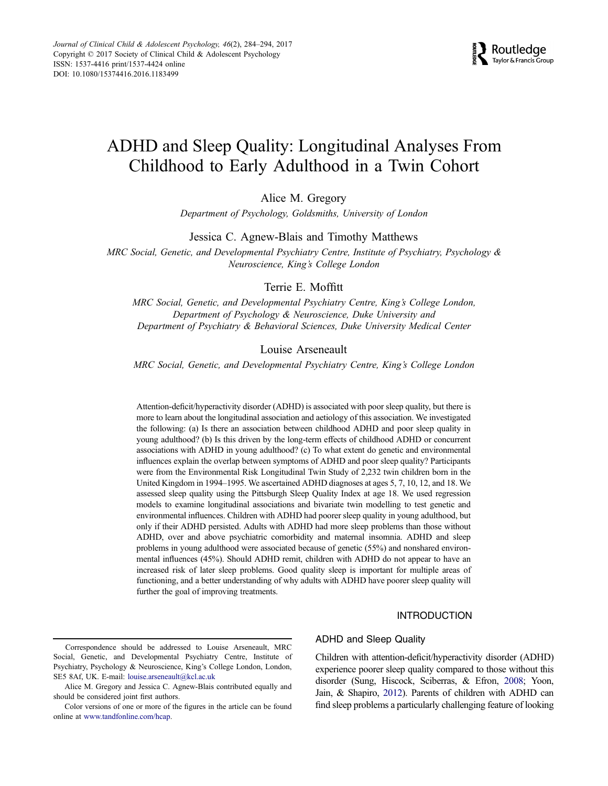# ADHD and Sleep Quality: Longitudinal Analyses From Childhood to Early Adulthood in a Twin Cohort

Alice M. Gregory

Department of Psychology, Goldsmiths, University of London

# Jessica C. Agnew-Blais and Timothy Matthews

MRC Social, Genetic, and Developmental Psychiatry Centre, Institute of Psychiatry, Psychology & Neuroscience, King's College London

# Terrie E. Moffitt

MRC Social, Genetic, and Developmental Psychiatry Centre, King's College London, Department of Psychology & Neuroscience, Duke University and Department of Psychiatry & Behavioral Sciences, Duke University Medical Center

## Louise Arseneault

MRC Social, Genetic, and Developmental Psychiatry Centre, King's College London

Attention-deficit/hyperactivity disorder (ADHD) is associated with poor sleep quality, but there is more to learn about the longitudinal association and aetiology of this association. We investigated the following: (a) Is there an association between childhood ADHD and poor sleep quality in young adulthood? (b) Is this driven by the long-term effects of childhood ADHD or concurrent associations with ADHD in young adulthood? (c) To what extent do genetic and environmental influences explain the overlap between symptoms of ADHD and poor sleep quality? Participants were from the Environmental Risk Longitudinal Twin Study of 2,232 twin children born in the United Kingdom in 1994–1995. We ascertained ADHD diagnoses at ages 5, 7, 10, 12, and 18. We assessed sleep quality using the Pittsburgh Sleep Quality Index at age 18. We used regression models to examine longitudinal associations and bivariate twin modelling to test genetic and environmental influences. Children with ADHD had poorer sleep quality in young adulthood, but only if their ADHD persisted. Adults with ADHD had more sleep problems than those without ADHD, over and above psychiatric comorbidity and maternal insomnia. ADHD and sleep problems in young adulthood were associated because of genetic (55%) and nonshared environmental influences (45%). Should ADHD remit, children with ADHD do not appear to have an increased risk of later sleep problems. Good quality sleep is important for multiple areas of functioning, and a better understanding of why adults with ADHD have poorer sleep quality will further the goal of improving treatments.

## INTRODUCTION

# ADHD and Sleep Quality

Children with attention-deficit/hyperactivity disorder (ADHD) experience poorer sleep quality compared to those without this disorder (Sung, Hiscock, Sciberras, & Efron, [2008](#page-11-0); Yoon, Jain, & Shapiro, [2012](#page-11-0)). Parents of children with ADHD can find sleep problems a particularly challenging feature of looking

Correspondence should be addressed to Louise Arseneault, MRC Social, Genetic, and Developmental Psychiatry Centre, Institute of Psychiatry, Psychology & Neuroscience, King's College London, London, SE5 8Af, UK. E-mail: louise.arseneault@kcl.ac.uk

Alice M. Gregory and Jessica C. Agnew-Blais contributed equally and should be considered joint first authors.

Color versions of one or more of the figures in the article can be found online at [www.tandfonline.com/hcap](http://www.tandfonline.com/hcap).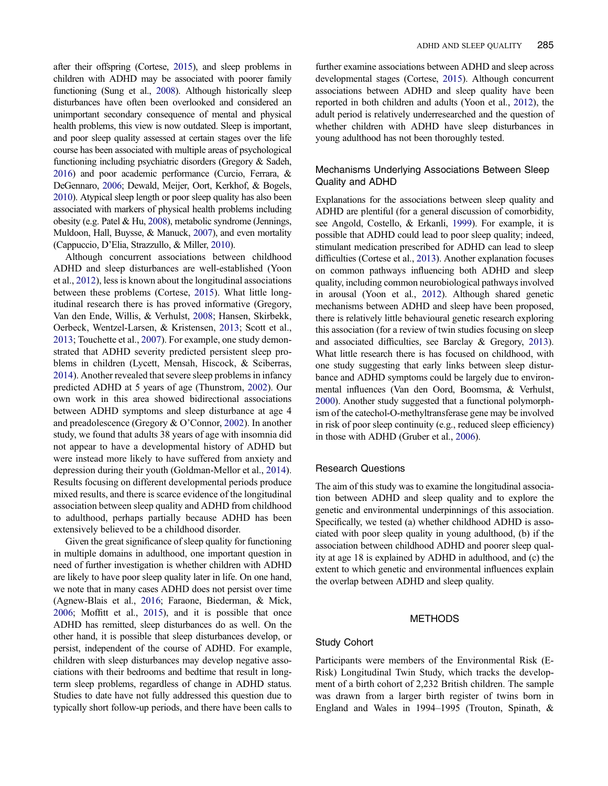after their offspring (Cortese, [2015\)](#page-9-0), and sleep problems in children with ADHD may be associated with poorer family functioning (Sung et al., [2008\)](#page-11-0). Although historically sleep disturbances have often been overlooked and considered an unimportant secondary consequence of mental and physical health problems, this view is now outdated. Sleep is important, and poor sleep quality assessed at certain stages over the life course has been associated with multiple areas of psychological functioning including psychiatric disorders (Gregory & Sadeh, [2016\)](#page-10-0) and poor academic performance (Curcio, Ferrara, & DeGennaro, [2006;](#page-9-0) Dewald, Meijer, Oort, Kerkhof, & Bogels, [2010\)](#page-9-0). Atypical sleep length or poor sleep quality has also been associated with markers of physical health problems including obesity (e.g. Patel & Hu, [2008](#page-10-0)), metabolic syndrome (Jennings, Muldoon, Hall, Buysse, & Manuck, [2007\)](#page-10-0), and even mortality (Cappuccio, D'Elia, Strazzullo, & Miller, [2010\)](#page-9-0).

Although concurrent associations between childhood ADHD and sleep disturbances are well-established (Yoon et al., [2012\)](#page-11-0), less is known about the longitudinal associations between these problems (Cortese, [2015\)](#page-9-0). What little longitudinal research there is has proved informative (Gregory, Van den Ende, Willis, & Verhulst, [2008](#page-10-0); Hansen, Skirbekk, Oerbeck, Wentzel-Larsen, & Kristensen, [2013](#page-10-0); Scott et al., [2013;](#page-10-0) Touchette et al., [2007](#page-11-0)). For example, one study demonstrated that ADHD severity predicted persistent sleep problems in children (Lycett, Mensah, Hiscock, & Sciberras, [2014\)](#page-10-0). Another revealed that severe sleep problems in infancy predicted ADHD at 5 years of age (Thunstrom, [2002\)](#page-11-0). Our own work in this area showed bidirectional associations between ADHD symptoms and sleep disturbance at age 4 and preadolescence (Gregory & O'Connor, [2002\)](#page-10-0). In another study, we found that adults 38 years of age with insomnia did not appear to have a developmental history of ADHD but were instead more likely to have suffered from anxiety and depression during their youth (Goldman-Mellor et al., [2014](#page-10-0)). Results focusing on different developmental periods produce mixed results, and there is scarce evidence of the longitudinal association between sleep quality and ADHD from childhood to adulthood, perhaps partially because ADHD has been extensively believed to be a childhood disorder.

Given the great significance of sleep quality for functioning in multiple domains in adulthood, one important question in need of further investigation is whether children with ADHD are likely to have poor sleep quality later in life. On one hand, we note that in many cases ADHD does not persist over time (Agnew-Blais et al., [2016;](#page-9-0) Faraone, Biederman, & Mick, [2006](#page-9-0); Moffitt et al., [2015](#page-10-0)), and it is possible that once ADHD has remitted, sleep disturbances do as well. On the other hand, it is possible that sleep disturbances develop, or persist, independent of the course of ADHD. For example, children with sleep disturbances may develop negative associations with their bedrooms and bedtime that result in longterm sleep problems, regardless of change in ADHD status. Studies to date have not fully addressed this question due to typically short follow-up periods, and there have been calls to

further examine associations between ADHD and sleep across developmental stages (Cortese, [2015\)](#page-9-0). Although concurrent associations between ADHD and sleep quality have been reported in both children and adults (Yoon et al., [2012\)](#page-11-0), the adult period is relatively underresearched and the question of whether children with ADHD have sleep disturbances in young adulthood has not been thoroughly tested.

# Mechanisms Underlying Associations Between Sleep Quality and ADHD

Explanations for the associations between sleep quality and ADHD are plentiful (for a general discussion of comorbidity, see Angold, Costello, & Erkanli, [1999](#page-9-0)). For example, it is possible that ADHD could lead to poor sleep quality; indeed, stimulant medication prescribed for ADHD can lead to sleep difficulties (Cortese et al., [2013](#page-9-0)). Another explanation focuses on common pathways influencing both ADHD and sleep quality, including common neurobiological pathways involved in arousal (Yoon et al., [2012\)](#page-11-0). Although shared genetic mechanisms between ADHD and sleep have been proposed, there is relatively little behavioural genetic research exploring this association (for a review of twin studies focusing on sleep and associated difficulties, see Barclay & Gregory, [2013](#page-9-0)). What little research there is has focused on childhood, with one study suggesting that early links between sleep disturbance and ADHD symptoms could be largely due to environmental influences (Van den Oord, Boomsma, & Verhulst, [2000](#page-11-0)). Another study suggested that a functional polymorphism of the catechol-O-methyltransferase gene may be involved in risk of poor sleep continuity (e.g., reduced sleep efficiency) in those with ADHD (Gruber et al., [2006\)](#page-10-0).

#### Research Questions

The aim of this study was to examine the longitudinal association between ADHD and sleep quality and to explore the genetic and environmental underpinnings of this association. Specifically, we tested (a) whether childhood ADHD is associated with poor sleep quality in young adulthood, (b) if the association between childhood ADHD and poorer sleep quality at age 18 is explained by ADHD in adulthood, and (c) the extent to which genetic and environmental influences explain the overlap between ADHD and sleep quality.

#### METHODS

#### Study Cohort

Participants were members of the Environmental Risk (E-Risk) Longitudinal Twin Study, which tracks the development of a birth cohort of 2,232 British children. The sample was drawn from a larger birth register of twins born in England and Wales in 1994–1995 (Trouton, Spinath, &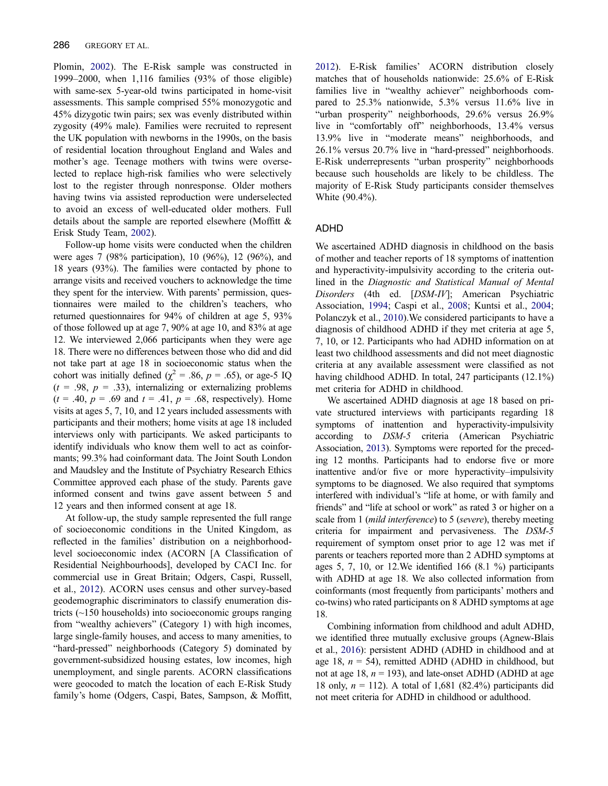Plomin, [2002](#page-11-0)). The E-Risk sample was constructed in 1999–2000, when 1,116 families (93% of those eligible) with same-sex 5-year-old twins participated in home-visit assessments. This sample comprised 55% monozygotic and 45% dizygotic twin pairs; sex was evenly distributed within zygosity (49% male). Families were recruited to represent the UK population with newborns in the 1990s, on the basis of residential location throughout England and Wales and mother's age. Teenage mothers with twins were overselected to replace high-risk families who were selectively lost to the register through nonresponse. Older mothers having twins via assisted reproduction were underselected to avoid an excess of well-educated older mothers. Full details about the sample are reported elsewhere (Moffitt & Erisk Study Team, [2002\)](#page-10-0).

Follow-up home visits were conducted when the children were ages 7 (98% participation), 10 (96%), 12 (96%), and 18 years (93%). The families were contacted by phone to arrange visits and received vouchers to acknowledge the time they spent for the interview. With parents' permission, questionnaires were mailed to the children's teachers, who returned questionnaires for 94% of children at age 5, 93% of those followed up at age 7, 90% at age 10, and 83% at age 12. We interviewed 2,066 participants when they were age 18. There were no differences between those who did and did not take part at age 18 in socioeconomic status when the cohort was initially defined ( $\chi^2 = .86$ ,  $p = .65$ ), or age-5 IQ  $(t = .98, p = .33)$ , internalizing or externalizing problems  $(t = .40, p = .69 \text{ and } t = .41, p = .68, respectively).$  Home visits at ages 5, 7, 10, and 12 years included assessments with participants and their mothers; home visits at age 18 included interviews only with participants. We asked participants to identify individuals who know them well to act as coinformants; 99.3% had coinformant data. The Joint South London and Maudsley and the Institute of Psychiatry Research Ethics Committee approved each phase of the study. Parents gave informed consent and twins gave assent between 5 and 12 years and then informed consent at age 18.

At follow-up, the study sample represented the full range of socioeconomic conditions in the United Kingdom, as reflected in the families' distribution on a neighborhoodlevel socioeconomic index (ACORN [A Classification of Residential Neighbourhoods], developed by CACI Inc. for commercial use in Great Britain; Odgers, Caspi, Russell, et al., [2012](#page-10-0)). ACORN uses census and other survey-based geodemographic discriminators to classify enumeration districts (~150 households) into socioeconomic groups ranging from "wealthy achievers" (Category 1) with high incomes, large single-family houses, and access to many amenities, to "hard-pressed" neighborhoods (Category 5) dominated by government-subsidized housing estates, low incomes, high unemployment, and single parents. ACORN classifications were geocoded to match the location of each E-Risk Study family's home (Odgers, Caspi, Bates, Sampson, & Moffitt, [2012\)](#page-10-0). E-Risk families' ACORN distribution closely matches that of households nationwide: 25.6% of E-Risk families live in "wealthy achiever" neighborhoods compared to 25.3% nationwide, 5.3% versus 11.6% live in "urban prosperity" neighborhoods, 29.6% versus 26.9% live in "comfortably off" neighborhoods, 13.4% versus 13.9% live in "moderate means" neighborhoods, and 26.1% versus 20.7% live in "hard-pressed" neighborhoods. E-Risk underrepresents "urban prosperity" neighborhoods because such households are likely to be childless. The majority of E-Risk Study participants consider themselves White (90.4%).

# ADHD

We ascertained ADHD diagnosis in childhood on the basis of mother and teacher reports of 18 symptoms of inattention and hyperactivity-impulsivity according to the criteria outlined in the Diagnostic and Statistical Manual of Mental Disorders (4th ed. [DSM-IV]; American Psychiatric Association, [1994;](#page-9-0) Caspi et al., [2008](#page-9-0); Kuntsi et al., [2004](#page-10-0); Polanczyk et al., [2010](#page-10-0)).We considered participants to have a diagnosis of childhood ADHD if they met criteria at age 5, 7, 10, or 12. Participants who had ADHD information on at least two childhood assessments and did not meet diagnostic criteria at any available assessment were classified as not having childhood ADHD. In total, 247 participants (12.1%) met criteria for ADHD in childhood.

We ascertained ADHD diagnosis at age 18 based on private structured interviews with participants regarding 18 symptoms of inattention and hyperactivity-impulsivity according to DSM-5 criteria (American Psychiatric Association, [2013\)](#page-9-0). Symptoms were reported for the preceding 12 months. Participants had to endorse five or more inattentive and/or five or more hyperactivity–impulsivity symptoms to be diagnosed. We also required that symptoms interfered with individual's "life at home, or with family and friends" and "life at school or work" as rated 3 or higher on a scale from 1 (mild interference) to 5 (severe), thereby meeting criteria for impairment and pervasiveness. The DSM-5 requirement of symptom onset prior to age 12 was met if parents or teachers reported more than 2 ADHD symptoms at ages 5, 7, 10, or 12. We identified 166  $(8.1 \%)$  participants with ADHD at age 18. We also collected information from coinformants (most frequently from participants' mothers and co-twins) who rated participants on 8 ADHD symptoms at age 18.

Combining information from childhood and adult ADHD, we identified three mutually exclusive groups (Agnew-Blais et al., [2016](#page-9-0)): persistent ADHD (ADHD in childhood and at age 18,  $n = 54$ ), remitted ADHD (ADHD in childhood, but not at age 18,  $n = 193$ ), and late-onset ADHD (ADHD at age 18 only,  $n = 112$ ). A total of 1,681 (82.4%) participants did not meet criteria for ADHD in childhood or adulthood.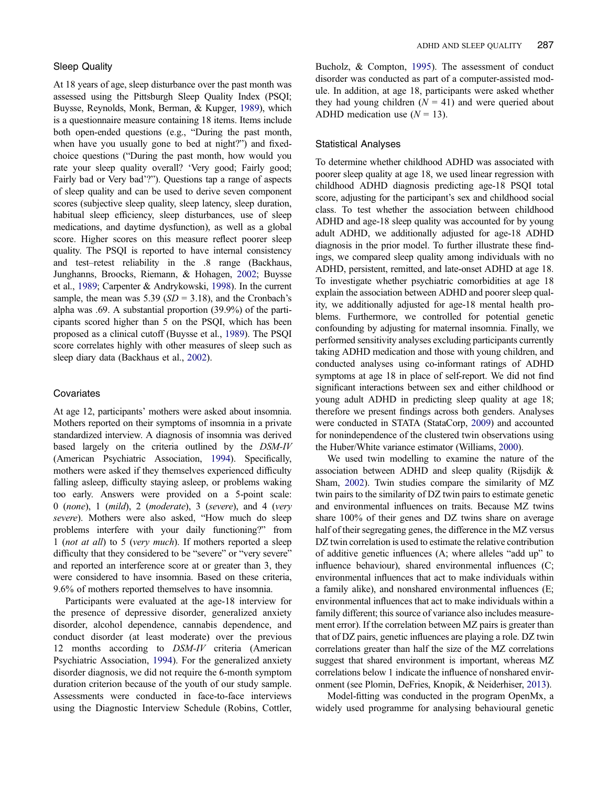#### Sleep Quality

At 18 years of age, sleep disturbance over the past month was assessed using the Pittsburgh Sleep Quality Index (PSQI; Buysse, Reynolds, Monk, Berman, & Kupger, [1989](#page-9-0)), which is a questionnaire measure containing 18 items. Items include both open-ended questions (e.g., "During the past month, when have you usually gone to bed at night?") and fixedchoice questions ("During the past month, how would you rate your sleep quality overall? 'Very good; Fairly good; Fairly bad or Very bad'?"). Questions tap a range of aspects of sleep quality and can be used to derive seven component scores (subjective sleep quality, sleep latency, sleep duration, habitual sleep efficiency, sleep disturbances, use of sleep medications, and daytime dysfunction), as well as a global score. Higher scores on this measure reflect poorer sleep quality. The PSQI is reported to have internal consistency and test–retest reliability in the .8 range (Backhaus, Junghanns, Broocks, Riemann, & Hohagen, [2002](#page-9-0); Buysse et al., [1989;](#page-9-0) Carpenter & Andrykowski, [1998\)](#page-9-0). In the current sample, the mean was  $5.39$  ( $SD = 3.18$ ), and the Cronbach's alpha was .69. A substantial proportion (39.9%) of the participants scored higher than 5 on the PSQI, which has been proposed as a clinical cutoff (Buysse et al., [1989](#page-9-0)). The PSQI score correlates highly with other measures of sleep such as sleep diary data (Backhaus et al., [2002](#page-9-0)).

# **Covariates**

At age 12, participants' mothers were asked about insomnia. Mothers reported on their symptoms of insomnia in a private standardized interview. A diagnosis of insomnia was derived based largely on the criteria outlined by the DSM-IV (American Psychiatric Association, [1994](#page-9-0)). Specifically, mothers were asked if they themselves experienced difficulty falling asleep, difficulty staying asleep, or problems waking too early. Answers were provided on a 5-point scale: 0 (none), 1 (mild), 2 (moderate), 3 (severe), and 4 (very severe). Mothers were also asked, "How much do sleep problems interfere with your daily functioning?" from 1 (not at all) to 5 (very much). If mothers reported a sleep difficulty that they considered to be "severe" or "very severe" and reported an interference score at or greater than 3, they were considered to have insomnia. Based on these criteria, 9.6% of mothers reported themselves to have insomnia.

Participants were evaluated at the age-18 interview for the presence of depressive disorder, generalized anxiety disorder, alcohol dependence, cannabis dependence, and conduct disorder (at least moderate) over the previous 12 months according to DSM-IV criteria (American Psychiatric Association, [1994\)](#page-9-0). For the generalized anxiety disorder diagnosis, we did not require the 6-month symptom duration criterion because of the youth of our study sample. Assessments were conducted in face-to-face interviews using the Diagnostic Interview Schedule (Robins, Cottler, Bucholz, & Compton, [1995\)](#page-10-0). The assessment of conduct disorder was conducted as part of a computer-assisted module. In addition, at age 18, participants were asked whether they had young children  $(N = 41)$  and were queried about ADHD medication use  $(N = 13)$ .

#### Statistical Analyses

To determine whether childhood ADHD was associated with poorer sleep quality at age 18, we used linear regression with childhood ADHD diagnosis predicting age-18 PSQI total score, adjusting for the participant's sex and childhood social class. To test whether the association between childhood ADHD and age-18 sleep quality was accounted for by young adult ADHD, we additionally adjusted for age-18 ADHD diagnosis in the prior model. To further illustrate these findings, we compared sleep quality among individuals with no ADHD, persistent, remitted, and late-onset ADHD at age 18. To investigate whether psychiatric comorbidities at age 18 explain the association between ADHD and poorer sleep quality, we additionally adjusted for age-18 mental health problems. Furthermore, we controlled for potential genetic confounding by adjusting for maternal insomnia. Finally, we performed sensitivity analyses excluding participants currently taking ADHD medication and those with young children, and conducted analyses using co-informant ratings of ADHD symptoms at age 18 in place of self-report. We did not find significant interactions between sex and either childhood or young adult ADHD in predicting sleep quality at age 18; therefore we present findings across both genders. Analyses were conducted in STATA (StataCorp, [2009](#page-11-0)) and accounted for nonindependence of the clustered twin observations using the Huber/White variance estimator (Williams, [2000\)](#page-11-0).

We used twin modelling to examine the nature of the association between ADHD and sleep quality (Rijsdijk & Sham, [2002\)](#page-10-0). Twin studies compare the similarity of MZ twin pairs to the similarity of DZ twin pairs to estimate genetic and environmental influences on traits. Because MZ twins share 100% of their genes and DZ twins share on average half of their segregating genes, the difference in the MZ versus DZ twin correlation is used to estimate the relative contribution of additive genetic influences (A; where alleles "add up" to influence behaviour), shared environmental influences (C; environmental influences that act to make individuals within a family alike), and nonshared environmental influences (E; environmental influences that act to make individuals within a family different; this source of variance also includes measurement error). If the correlation between MZ pairs is greater than that of DZ pairs, genetic influences are playing a role. DZ twin correlations greater than half the size of the MZ correlations suggest that shared environment is important, whereas MZ correlations below 1 indicate the influence of nonshared environment (see Plomin, DeFries, Knopik, & Neiderhiser, [2013](#page-10-0)).

Model-fitting was conducted in the program OpenMx, a widely used programme for analysing behavioural genetic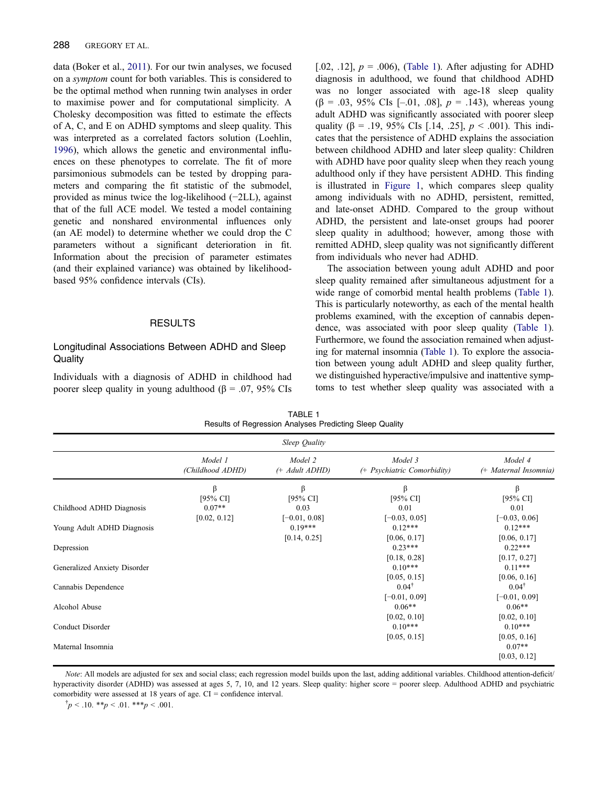data (Boker et al., [2011](#page-9-0)). For our twin analyses, we focused on a symptom count for both variables. This is considered to be the optimal method when running twin analyses in order to maximise power and for computational simplicity. A Cholesky decomposition was fitted to estimate the effects of A, C, and E on ADHD symptoms and sleep quality. This was interpreted as a correlated factors solution (Loehlin, [1996\)](#page-10-0), which allows the genetic and environmental influences on these phenotypes to correlate. The fit of more parsimonious submodels can be tested by dropping parameters and comparing the fit statistic of the submodel, provided as minus twice the log-likelihood (−2LL), against that of the full ACE model. We tested a model containing genetic and nonshared environmental influences only (an AE model) to determine whether we could drop the C parameters without a significant deterioration in fit. Information about the precision of parameter estimates (and their explained variance) was obtained by likelihoodbased 95% confidence intervals (CIs).

#### RESULTS

# Longitudinal Associations Between ADHD and Sleep **Quality**

Individuals with a diagnosis of ADHD in childhood had poorer sleep quality in young adulthood (β = .07, 95% CIs [.02, .12],  $p = .006$ ), (Table 1). After adjusting for ADHD diagnosis in adulthood, we found that childhood ADHD was no longer associated with age-18 sleep quality (β = .03, 95% CIs [-.01, .08],  $p = .143$ ), whereas young adult ADHD was significantly associated with poorer sleep quality ( $\beta$  = .19, 95% CIs [.14, .25],  $p < .001$ ). This indicates that the persistence of ADHD explains the association between childhood ADHD and later sleep quality: Children with ADHD have poor quality sleep when they reach young adulthood only if they have persistent ADHD. This finding is illustrated in [Figure 1,](#page-6-0) which compares sleep quality among individuals with no ADHD, persistent, remitted, and late-onset ADHD. Compared to the group without ADHD, the persistent and late-onset groups had poorer sleep quality in adulthood; however, among those with remitted ADHD, sleep quality was not significantly different from individuals who never had ADHD.

The association between young adult ADHD and poor sleep quality remained after simultaneous adjustment for a wide range of comorbid mental health problems (Table 1). This is particularly noteworthy, as each of the mental health problems examined, with the exception of cannabis dependence, was associated with poor sleep quality (Table 1). Furthermore, we found the association remained when adjusting for maternal insomnia (Table 1). To explore the association between young adult ADHD and sleep quality further, we distinguished hyperactive/impulsive and inattentive symptoms to test whether sleep quality was associated with a

| Results of Regression Analyses Predicting Sleep Quality<br>Sleep Quality |                          |                           |                                  |                                  |  |  |  |
|--------------------------------------------------------------------------|--------------------------|---------------------------|----------------------------------|----------------------------------|--|--|--|
|                                                                          |                          |                           |                                  |                                  |  |  |  |
|                                                                          | β<br>[95% CI]            | β<br>[95% CI]             | β<br>$[95\%$ CI]                 | β<br>$[95\% \text{ CI}]$         |  |  |  |
| Childhood ADHD Diagnosis                                                 | $0.07**$<br>[0.02, 0.12] | 0.03<br>$[-0.01, 0.08]$   | 0.01<br>$[-0.03, 0.05]$          | 0.01<br>$[-0.03, 0.06]$          |  |  |  |
| Young Adult ADHD Diagnosis                                               |                          | $0.19***$<br>[0.14, 0.25] | $0.12***$<br>[0.06, 0.17]        | $0.12***$<br>[0.06, 0.17]        |  |  |  |
| Depression                                                               |                          |                           | $0.23***$<br>[0.18, 0.28]        | $0.22***$<br>[0.17, 0.27]        |  |  |  |
| Generalized Anxiety Disorder                                             |                          |                           | $0.10***$                        | $0.11***$                        |  |  |  |
| Cannabis Dependence                                                      |                          |                           | [0.05, 0.15]<br>$0.04^{\dagger}$ | [0.06, 0.16]<br>$0.04^{\dagger}$ |  |  |  |
| Alcohol Abuse                                                            |                          |                           | $[-0.01, 0.09]$<br>$0.06**$      | $[-0.01, 0.09]$<br>$0.06**$      |  |  |  |
| Conduct Disorder                                                         |                          |                           | [0.02, 0.10]<br>$0.10***$        | [0.02, 0.10]<br>$0.10***$        |  |  |  |
| Maternal Insomnia                                                        |                          |                           | [0.05, 0.15]                     | [0.05, 0.16]<br>$0.07**$         |  |  |  |
|                                                                          |                          |                           |                                  | [0.03, 0.12]                     |  |  |  |

TABLE 1

Note: All models are adjusted for sex and social class; each regression model builds upon the last, adding additional variables. Childhood attention-deficit/ hyperactivity disorder (ADHD) was assessed at ages 5, 7, 10, and 12 years. Sleep quality: higher score = poorer sleep. Adulthood ADHD and psychiatric comorbidity were assessed at 18 years of age. CI = confidence interval.

 $\dagger p < .10.$  \*\* $p < .01.$  \*\*\* $p < .001.$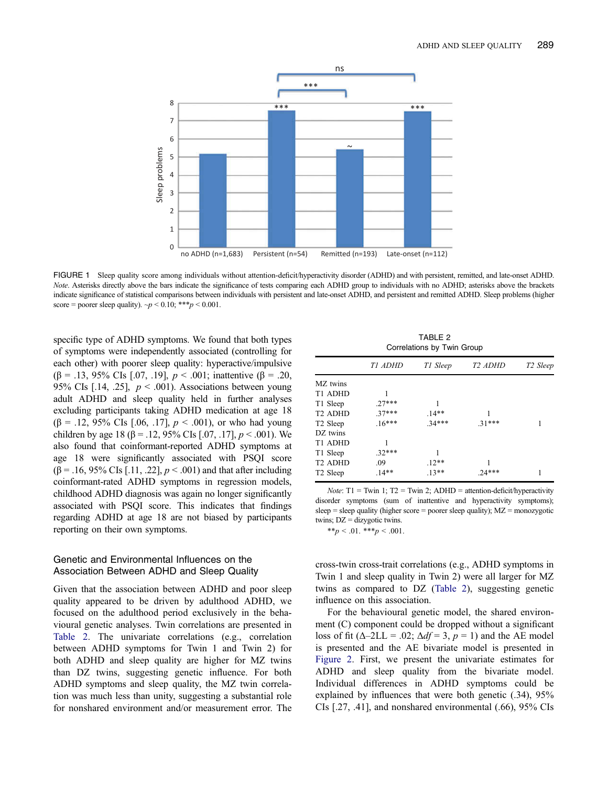<span id="page-6-0"></span>

FIGURE 1 Sleep quality score among individuals without attention-deficit/hyperactivity disorder (ADHD) and with persistent, remitted, and late-onset ADHD. Note. Asterisks directly above the bars indicate the significance of tests comparing each ADHD group to individuals with no ADHD; asterisks above the brackets indicate significance of statistical comparisons between individuals with persistent and late-onset ADHD, and persistent and remitted ADHD. Sleep problems (higher score = poorer sleep quality).  $\sim p \lt 0.10$ ; \*\*\* $p \lt 0.001$ .

specific type of ADHD symptoms. We found that both types of symptoms were independently associated (controlling for each other) with poorer sleep quality: hyperactive/impulsive (β = .13, 95% CIs [.07, .19],  $p < .001$ ; inattentive (β = .20, 95% CIs  $[.14, .25]$ ,  $p < .001$ ). Associations between young adult ADHD and sleep quality held in further analyses excluding participants taking ADHD medication at age 18 ( $\beta$  = .12, 95% CIs [.06, .17],  $p < .001$ ), or who had young children by age 18 ( $\beta$  = .12, 95% CIs [.07, .17],  $p < .001$ ). We also found that coinformant-reported ADHD symptoms at age 18 were significantly associated with PSQI score (β = .16, 95% CIs [.11, .22],  $p < .001$ ) and that after including coinformant-rated ADHD symptoms in regression models, childhood ADHD diagnosis was again no longer significantly associated with PSQI score. This indicates that findings regarding ADHD at age 18 are not biased by participants reporting on their own symptoms.

# Genetic and Environmental Influences on the Association Between ADHD and Sleep Quality

Given that the association between ADHD and poor sleep quality appeared to be driven by adulthood ADHD, we focused on the adulthood period exclusively in the behavioural genetic analyses. Twin correlations are presented in Table 2. The univariate correlations (e.g., correlation between ADHD symptoms for Twin 1 and Twin 2) for both ADHD and sleep quality are higher for MZ twins than DZ twins, suggesting genetic influence. For both ADHD symptoms and sleep quality, the MZ twin correlation was much less than unity, suggesting a substantial role for nonshared environment and/or measurement error. The

| TABLE 2                    |  |  |  |  |  |  |
|----------------------------|--|--|--|--|--|--|
| Correlations by Twin Group |  |  |  |  |  |  |

|                      | T1 ADHD  | T1 Sleep | T <sub>2</sub> ADHD | T <sub>2</sub> Sleep |
|----------------------|----------|----------|---------------------|----------------------|
| MZ twins             |          |          |                     |                      |
| T1 ADHD              |          |          |                     |                      |
| T1 Sleep             | $.27***$ |          |                     |                      |
| <b>T2 ADHD</b>       | $.37***$ | $.14**$  |                     |                      |
| T <sub>2</sub> Sleep | $.16***$ | $34***$  | $.31***$            |                      |
| DZ twins             |          |          |                     |                      |
| T1 ADHD              | 1        |          |                     |                      |
| T1 Sleep             | $.32***$ | 1        |                     |                      |
| <b>T2 ADHD</b>       | .09      | $.12**$  | 1                   |                      |
| T <sub>2</sub> Sleep | $.14**$  | $.13**$  | $74***$             |                      |

Note:  $T1 =$  Twin 1;  $T2 =$  Twin 2; ADHD = attention-deficit/hyperactivity disorder symptoms (sum of inattentive and hyperactivity symptoms);  $sleep = sleep$  quality (higher score = poorer sleep quality);  $MZ = monozygotic$ twins; DZ = dizygotic twins.

\*\*p < .01. \*\*\*p < .001.

cross-twin cross-trait correlations (e.g., ADHD symptoms in Twin 1 and sleep quality in Twin 2) were all larger for MZ twins as compared to DZ (Table 2), suggesting genetic influence on this association.

For the behavioural genetic model, the shared environment (C) component could be dropped without a significant loss of fit ( $\Delta$ -2LL = .02;  $\Delta df = 3$ ,  $p = 1$ ) and the AE model is presented and the AE bivariate model is presented in [Figure 2](#page-7-0). First, we present the univariate estimates for ADHD and sleep quality from the bivariate model. Individual differences in ADHD symptoms could be explained by influences that were both genetic (.34), 95% CIs [.27, .41], and nonshared environmental (.66), 95% CIs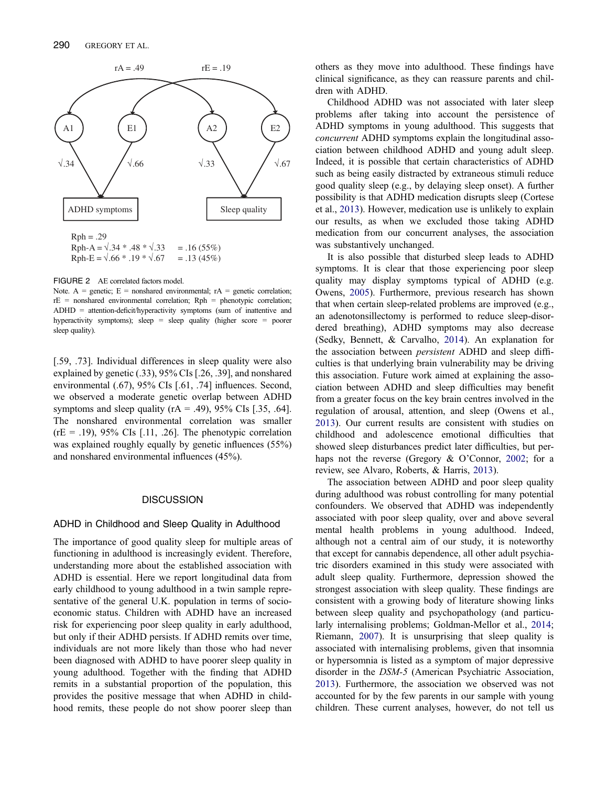<span id="page-7-0"></span>

FIGURE 2 AE correlated factors model.

Note.  $A =$  genetic;  $E =$  nonshared environmental;  $rA =$  genetic correlation; rE = nonshared environmental correlation; Rph = phenotypic correlation; ADHD = attention-deficit/hyperactivity symptoms (sum of inattentive and hyperactivity symptoms); sleep = sleep quality (higher score = poorer sleep quality).

[.59, .73]. Individual differences in sleep quality were also explained by genetic (.33), 95% CIs [.26, .39], and nonshared environmental (.67), 95% CIs [.61, .74] influences. Second, we observed a moderate genetic overlap between ADHD symptoms and sleep quality ( $rA = .49$ ), 95% CIs [.35, .64]. The nonshared environmental correlation was smaller  $(rE = .19)$ , 95% CIs [.11, .26]. The phenotypic correlation was explained roughly equally by genetic influences (55%) and nonshared environmental influences (45%).

#### **DISCUSSION**

#### ADHD in Childhood and Sleep Quality in Adulthood

The importance of good quality sleep for multiple areas of functioning in adulthood is increasingly evident. Therefore, understanding more about the established association with ADHD is essential. Here we report longitudinal data from early childhood to young adulthood in a twin sample representative of the general U.K. population in terms of socioeconomic status. Children with ADHD have an increased risk for experiencing poor sleep quality in early adulthood, but only if their ADHD persists. If ADHD remits over time, individuals are not more likely than those who had never been diagnosed with ADHD to have poorer sleep quality in young adulthood. Together with the finding that ADHD remits in a substantial proportion of the population, this provides the positive message that when ADHD in childhood remits, these people do not show poorer sleep than

others as they move into adulthood. These findings have clinical significance, as they can reassure parents and children with ADHD.

Childhood ADHD was not associated with later sleep problems after taking into account the persistence of ADHD symptoms in young adulthood. This suggests that concurrent ADHD symptoms explain the longitudinal association between childhood ADHD and young adult sleep. Indeed, it is possible that certain characteristics of ADHD such as being easily distracted by extraneous stimuli reduce good quality sleep (e.g., by delaying sleep onset). A further possibility is that ADHD medication disrupts sleep (Cortese et al., [2013](#page-9-0)). However, medication use is unlikely to explain our results, as when we excluded those taking ADHD medication from our concurrent analyses, the association was substantively unchanged.

It is also possible that disturbed sleep leads to ADHD symptoms. It is clear that those experiencing poor sleep quality may display symptoms typical of ADHD (e.g. Owens, [2005](#page-10-0)). Furthermore, previous research has shown that when certain sleep-related problems are improved (e.g., an adenotonsillectomy is performed to reduce sleep-disordered breathing), ADHD symptoms may also decrease (Sedky, Bennett, & Carvalho, [2014](#page-11-0)). An explanation for the association between *persistent* ADHD and sleep difficulties is that underlying brain vulnerability may be driving this association. Future work aimed at explaining the association between ADHD and sleep difficulties may benefit from a greater focus on the key brain centres involved in the regulation of arousal, attention, and sleep (Owens et al., [2013\)](#page-10-0). Our current results are consistent with studies on childhood and adolescence emotional difficulties that showed sleep disturbances predict later difficulties, but perhaps not the reverse (Gregory & O'Connor, [2002;](#page-10-0) for a review, see Alvaro, Roberts, & Harris, [2013\)](#page-9-0).

The association between ADHD and poor sleep quality during adulthood was robust controlling for many potential confounders. We observed that ADHD was independently associated with poor sleep quality, over and above several mental health problems in young adulthood. Indeed, although not a central aim of our study, it is noteworthy that except for cannabis dependence, all other adult psychiatric disorders examined in this study were associated with adult sleep quality. Furthermore, depression showed the strongest association with sleep quality. These findings are consistent with a growing body of literature showing links between sleep quality and psychopathology (and particularly internalising problems; Goldman-Mellor et al., [2014](#page-10-0); Riemann, [2007\)](#page-10-0). It is unsurprising that sleep quality is associated with internalising problems, given that insomnia or hypersomnia is listed as a symptom of major depressive disorder in the DSM-5 (American Psychiatric Association, [2013\)](#page-9-0). Furthermore, the association we observed was not accounted for by the few parents in our sample with young children. These current analyses, however, do not tell us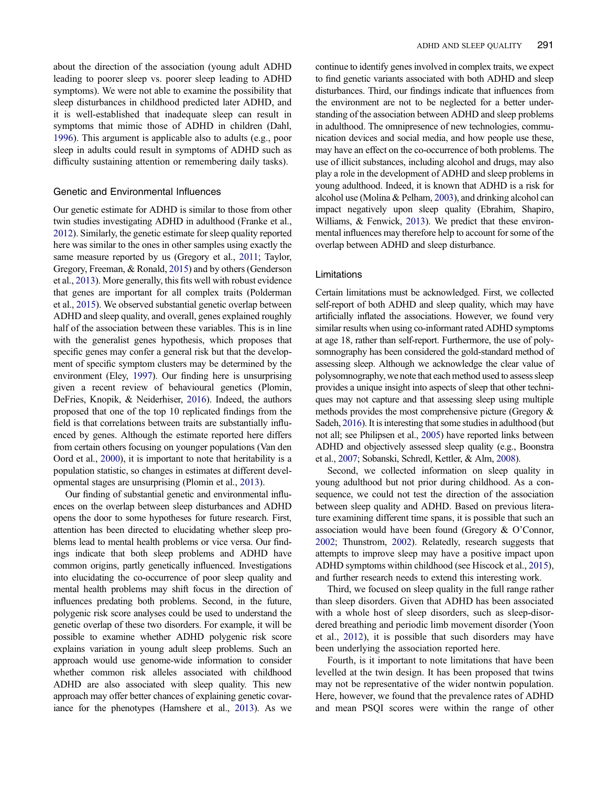about the direction of the association (young adult ADHD leading to poorer sleep vs. poorer sleep leading to ADHD symptoms). We were not able to examine the possibility that sleep disturbances in childhood predicted later ADHD, and it is well-established that inadequate sleep can result in symptoms that mimic those of ADHD in children (Dahl, [1996\)](#page-9-0). This argument is applicable also to adults (e.g., poor sleep in adults could result in symptoms of ADHD such as difficulty sustaining attention or remembering daily tasks).

#### Genetic and Environmental Influences

Our genetic estimate for ADHD is similar to those from other twin studies investigating ADHD in adulthood (Franke et al., [2012](#page-10-0)). Similarly, the genetic estimate for sleep quality reported here was similar to the ones in other samples using exactly the same measure reported by us (Gregory et al., [2011](#page-10-0); Taylor, Gregory, Freeman, & Ronald, [2015\)](#page-11-0) and by others (Genderson et al., [2013\)](#page-10-0). More generally, this fits well with robust evidence that genes are important for all complex traits (Polderman et al., [2015\)](#page-10-0). We observed substantial genetic overlap between ADHD and sleep quality, and overall, genes explained roughly half of the association between these variables. This is in line with the generalist genes hypothesis, which proposes that specific genes may confer a general risk but that the development of specific symptom clusters may be determined by the environment (Eley, [1997](#page-9-0)). Our finding here is unsurprising given a recent review of behavioural genetics (Plomin, DeFries, Knopik, & Neiderhiser, [2016\)](#page-10-0). Indeed, the authors proposed that one of the top 10 replicated findings from the field is that correlations between traits are substantially influenced by genes. Although the estimate reported here differs from certain others focusing on younger populations (Van den Oord et al., [2000\)](#page-11-0), it is important to note that heritability is a population statistic, so changes in estimates at different developmental stages are unsurprising (Plomin et al., [2013](#page-10-0)).

Our finding of substantial genetic and environmental influences on the overlap between sleep disturbances and ADHD opens the door to some hypotheses for future research. First, attention has been directed to elucidating whether sleep problems lead to mental health problems or vice versa. Our findings indicate that both sleep problems and ADHD have common origins, partly genetically influenced. Investigations into elucidating the co-occurrence of poor sleep quality and mental health problems may shift focus in the direction of influences predating both problems. Second, in the future, polygenic risk score analyses could be used to understand the genetic overlap of these two disorders. For example, it will be possible to examine whether ADHD polygenic risk score explains variation in young adult sleep problems. Such an approach would use genome-wide information to consider whether common risk alleles associated with childhood ADHD are also associated with sleep quality. This new approach may offer better chances of explaining genetic covariance for the phenotypes (Hamshere et al., [2013\)](#page-10-0). As we

continue to identify genes involved in complex traits, we expect to find genetic variants associated with both ADHD and sleep disturbances. Third, our findings indicate that influences from the environment are not to be neglected for a better understanding of the association between ADHD and sleep problems in adulthood. The omnipresence of new technologies, communication devices and social media, and how people use these, may have an effect on the co-occurrence of both problems. The use of illicit substances, including alcohol and drugs, may also play a role in the development of ADHD and sleep problems in young adulthood. Indeed, it is known that ADHD is a risk for alcohol use (Molina & Pelham, [2003\)](#page-10-0), and drinking alcohol can impact negatively upon sleep quality (Ebrahim, Shapiro, Williams, & Fenwick, [2013](#page-9-0)). We predict that these environmental influences may therefore help to account for some of the overlap between ADHD and sleep disturbance.

#### Limitations

Certain limitations must be acknowledged. First, we collected self-report of both ADHD and sleep quality, which may have artificially inflated the associations. However, we found very similar results when using co-informant rated ADHD symptoms at age 18, rather than self-report. Furthermore, the use of polysomnography has been considered the gold-standard method of assessing sleep. Although we acknowledge the clear value of polysomnography, we note that each method used to assess sleep provides a unique insight into aspects of sleep that other techniques may not capture and that assessing sleep using multiple methods provides the most comprehensive picture (Gregory & Sadeh, [2016](#page-10-0)). It is interesting that some studies in adulthood (but not all; see Philipsen et al., [2005\)](#page-10-0) have reported links between ADHD and objectively assessed sleep quality (e.g., Boonstra et al., [2007;](#page-9-0) Sobanski, Schredl, Kettler, & Alm, [2008](#page-11-0)).

Second, we collected information on sleep quality in young adulthood but not prior during childhood. As a consequence, we could not test the direction of the association between sleep quality and ADHD. Based on previous literature examining different time spans, it is possible that such an association would have been found (Gregory & O'Connor, [2002](#page-10-0); Thunstrom, [2002](#page-11-0)). Relatedly, research suggests that attempts to improve sleep may have a positive impact upon ADHD symptoms within childhood (see Hiscock et al., [2015](#page-10-0)), and further research needs to extend this interesting work.

Third, we focused on sleep quality in the full range rather than sleep disorders. Given that ADHD has been associated with a whole host of sleep disorders, such as sleep-disordered breathing and periodic limb movement disorder (Yoon et al., [2012](#page-11-0)), it is possible that such disorders may have been underlying the association reported here.

Fourth, is it important to note limitations that have been levelled at the twin design. It has been proposed that twins may not be representative of the wider nontwin population. Here, however, we found that the prevalence rates of ADHD and mean PSQI scores were within the range of other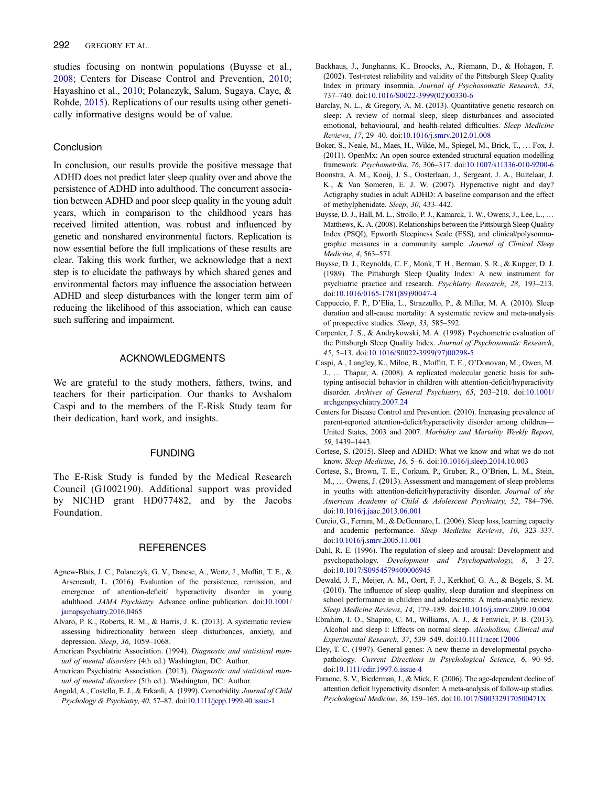<span id="page-9-0"></span>studies focusing on nontwin populations (Buysse et al., 2008; Centers for Disease Control and Prevention, 2010; Hayashino et al., [2010;](#page-10-0) Polanczyk, Salum, Sugaya, Caye, & Rohde, [2015\)](#page-10-0). Replications of our results using other genetically informative designs would be of value.

# **Conclusion**

In conclusion, our results provide the positive message that ADHD does not predict later sleep quality over and above the persistence of ADHD into adulthood. The concurrent association between ADHD and poor sleep quality in the young adult years, which in comparison to the childhood years has received limited attention, was robust and influenced by genetic and nonshared environmental factors. Replication is now essential before the full implications of these results are clear. Taking this work further, we acknowledge that a next step is to elucidate the pathways by which shared genes and environmental factors may influence the association between ADHD and sleep disturbances with the longer term aim of reducing the likelihood of this association, which can cause such suffering and impairment.

## ACKNOWLEDGMENTS

We are grateful to the study mothers, fathers, twins, and teachers for their participation. Our thanks to Avshalom Caspi and to the members of the E-Risk Study team for their dedication, hard work, and insights.

#### FUNDING

The E-Risk Study is funded by the Medical Research Council (G1002190). Additional support was provided by NICHD grant HD077482, and by the Jacobs Foundation.

#### **REFERENCES**

- Agnew-Blais, J. C., Polanczyk, G. V., Danese, A., Wertz, J., Moffitt, T. E., & Arseneault, L. (2016). Evaluation of the persistence, remission, and emergence of attention-deficit/ hyperactivity disorder in young adulthood. JAMA Psychiatry. Advance online publication. doi:[10.1001/](http://dx.doi.org/10.1001/jamapsychiatry.2016.0465) [jamapsychiatry.2016.0465](http://dx.doi.org/10.1001/jamapsychiatry.2016.0465)
- Alvaro, P. K., Roberts, R. M., & Harris, J. K. (2013). A systematic review assessing bidirectionality between sleep disturbances, anxiety, and depression. Sleep, 36, 1059–1068.
- American Psychiatric Association. (1994). Diagnostic and statistical manual of mental disorders (4th ed.) Washington, DC: Author.
- American Psychiatric Association. (2013). Diagnostic and statistical manual of mental disorders (5th ed.). Washington, DC: Author.
- Angold, A., Costello, E. J., & Erkanli, A. (1999). Comorbidity. Journal of Child Psychology & Psychiatry, 40, 57–87. doi:[10.1111/jcpp.1999.40.issue-1](http://dx.doi.org/10.1111/jcpp.1999.40.issue-1)
- Backhaus, J., Junghanns, K., Broocks, A., Riemann, D., & Hohagen, F. (2002). Test-retest reliability and validity of the Pittsburgh Sleep Quality Index in primary insomnia. Journal of Psychosomatic Research, 53, 737–740. doi:[10.1016/S0022-3999\(02\)00330-6](http://dx.doi.org/10.1016/S0022-3999(02)00330-6)
- Barclay, N. L., & Gregory, A. M. (2013). Quantitative genetic research on sleep: A review of normal sleep, sleep disturbances and associated emotional, behavioural, and health-related difficulties. Sleep Medicine Reviews, 17, 29–40. doi:[10.1016/j.smrv.2012.01.008](http://dx.doi.org/10.1016/j.smrv.2012.01.008)
- Boker, S., Neale, M., Maes, H., Wilde, M., Spiegel, M., Brick, T., … Fox, J. (2011). OpenMx: An open source extended structural equation modelling framework. Psychometrika, 76, 306–317. doi:[10.1007/s11336-010-9200-6](http://dx.doi.org/10.1007/s11336-010-9200-6)
- Boonstra, A. M., Kooij, J. S., Oosterlaan, J., Sergeant, J. A., Buitelaar, J. K., & Van Someren, E. J. W. (2007). Hyperactive night and day? Actigraphy studies in adult ADHD: A baseline comparison and the effect of methylphenidate. Sleep, 30, 433–442.
- Buysse, D. J., Hall, M. L., Strollo, P. J., Kamarck, T. W., Owens, J., Lee, L., … Matthews, K. A. (2008). Relationships between the Pittsburgh Sleep Quality Index (PSQI), Epworth Sleepiness Scale (ESS), and clinical/polysomnographic measures in a community sample. Journal of Clinical Sleep Medicine, 4, 563–571.
- Buysse, D. J., Reynolds, C. F., Monk, T. H., Berman, S. R., & Kupger, D. J. (1989). The Pittsburgh Sleep Quality Index: A new instrument for psychiatric practice and research. Psychiatry Research, 28, 193–213. doi:[10.1016/0165-1781\(89\)90047-4](http://dx.doi.org/10.1016/0165-1781(89)90047-4)
- Cappuccio, F. P., D'Elia, L., Strazzullo, P., & Miller, M. A. (2010). Sleep duration and all-cause mortality: A systematic review and meta-analysis of prospective studies. Sleep, 33, 585–592.
- Carpenter, J. S., & Andrykowski, M. A. (1998). Psychometric evaluation of the Pittsburgh Sleep Quality Index. Journal of Psychosomatic Research, 45, 5–13. doi:[10.1016/S0022-3999\(97\)00298-5](http://dx.doi.org/10.1016/S0022-3999(97)00298-5)
- Caspi, A., Langley, K., Milne, B., Moffitt, T. E., O'Donovan, M., Owen, M. J., … Thapar, A. (2008). A replicated molecular genetic basis for subtyping antisocial behavior in children with attention-deficit/hyperactivity disorder. Archives of General Psychiatry, 65, 203–210. doi:[10.1001/](http://dx.doi.org/10.1001/archgenpsychiatry.2007.24) [archgenpsychiatry.2007.24](http://dx.doi.org/10.1001/archgenpsychiatry.2007.24)
- Centers for Disease Control and Prevention. (2010). Increasing prevalence of parent-reported attention-deficit/hyperactivity disorder among children— United States, 2003 and 2007. Morbidity and Mortality Weekly Report, 59, 1439–1443.
- Cortese, S. (2015). Sleep and ADHD: What we know and what we do not know. Sleep Medicine, 16, 5–6. doi:[10.1016/j.sleep.2014.10.003](http://dx.doi.org/10.1016/j.sleep.2014.10.003)
- Cortese, S., Brown, T. E., Corkum, P., Gruber, R., O'Brien, L. M., Stein, M., … Owens, J. (2013). Assessment and management of sleep problems in youths with attention-deficit/hyperactivity disorder. Journal of the American Academy of Child & Adolescent Psychiatry, 52, 784–796. doi:[10.1016/j.jaac.2013.06.001](http://dx.doi.org/10.1016/j.jaac.2013.06.001)
- Curcio, G., Ferrara, M., & DeGennaro, L. (2006). Sleep loss, learning capacity and academic performance. Sleep Medicine Reviews, 10, 323–337. doi:[10.1016/j.smrv.2005.11.001](http://dx.doi.org/10.1016/j.smrv.2005.11.001)
- Dahl, R. E. (1996). The regulation of sleep and arousal: Development and psychopathology. Development and Psychopathology, 8, 3–27. doi:[10.1017/S0954579400006945](http://dx.doi.org/10.1017/S0954579400006945)
- Dewald, J. F., Meijer, A. M., Oort, F. J., Kerkhof, G. A., & Bogels, S. M. (2010). The influence of sleep quality, sleep duration and sleepiness on school performance in children and adolescents: A meta-analytic review. Sleep Medicine Reviews, 14, 179–189. doi:[10.1016/j.smrv.2009.10.004](http://dx.doi.org/10.1016/j.smrv.2009.10.004)
- Ebrahim, I. O., Shapiro, C. M., Williams, A. J., & Fenwick, P. B. (2013). Alcohol and sleep I: Effects on normal sleep. Alcoholism, Clinical and Experimental Research, 37, 539–549. doi:[10.1111/acer.12006](http://dx.doi.org/10.1111/acer.12006)
- Eley, T. C. (1997). General genes: A new theme in developmental psychopathology. Current Directions in Psychological Science, 6, 90–95. doi:[10.1111/cdir.1997.6.issue-4](http://dx.doi.org/10.1111/cdir.1997.6.issue-4)
- Faraone, S. V., Biederman, J., & Mick, E. (2006). The age-dependent decline of attention deficit hyperactivity disorder: A meta-analysis of follow-up studies. Psychological Medicine, 36, 159–165. doi:[10.1017/S003329170500471X](http://dx.doi.org/10.1017/S003329170500471X)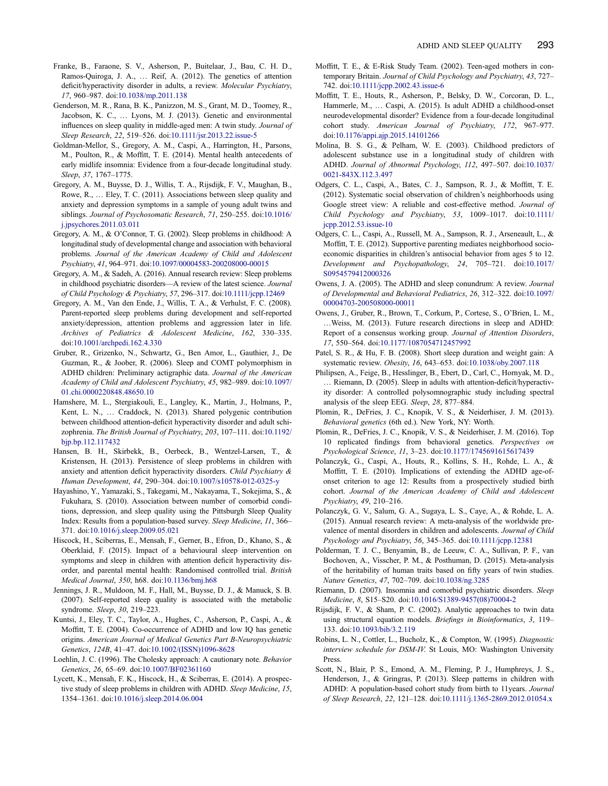- <span id="page-10-0"></span>Franke, B., Faraone, S. V., Asherson, P., Buitelaar, J., Bau, C. H. D., Ramos-Quiroga, J. A., … Reif, A. (2012). The genetics of attention deficit/hyperactivity disorder in adults, a review. Molecular Psychiatry, 17, 960–987. doi:[10.1038/mp.2011.138](http://dx.doi.org/10.1038/mp.2011.138)
- Genderson, M. R., Rana, B. K., Panizzon, M. S., Grant, M. D., Toomey, R., Jacobson, K. C., … Lyons, M. J. (2013). Genetic and environmental influences on sleep quality in middle-aged men: A twin study. Journal of Sleep Research, 22, 519–526. doi:[10.1111/jsr.2013.22.issue-5](http://dx.doi.org/10.1111/jsr.2013.22.issue-5)
- Goldman-Mellor, S., Gregory, A. M., Caspi, A., Harrington, H., Parsons, M., Poulton, R., & Moffitt, T. E. (2014). Mental health antecedents of early midlife insomnia: Evidence from a four-decade longitudinal study. Sleep, 37, 1767–1775.
- Gregory, A. M., Buysse, D. J., Willis, T. A., Rijsdijk, F. V., Maughan, B., Rowe, R., … Eley, T. C. (2011). Associations between sleep quality and anxiety and depression symptoms in a sample of young adult twins and siblings. Journal of Psychosomatic Research, 71, 250–255. doi:[10.1016/](http://dx.doi.org/10.1016/j.jpsychores.2011.03.011) [j.jpsychores.2011.03.011](http://dx.doi.org/10.1016/j.jpsychores.2011.03.011)
- Gregory, A. M., & O'Connor, T. G. (2002). Sleep problems in childhood: A longitudinal study of developmental change and association with behavioral problems. Journal of the American Academy of Child and Adolescent Psychiatry, 41, 964–971. doi:[10.1097/00004583-200208000-00015](http://dx.doi.org/10.1097/00004583-200208000-00015)
- Gregory, A. M., & Sadeh, A. (2016). Annual research review: Sleep problems in childhood psychiatric disorders—A review of the latest science. Journal of Child Psychology & Psychiatry, 57, 296–317. doi:[10.1111/jcpp.12469](http://dx.doi.org/10.1111/jcpp.12469)
- Gregory, A. M., Van den Ende, J., Willis, T. A., & Verhulst, F. C. (2008). Parent-reported sleep problems during development and self-reported anxiety/depression, attention problems and aggression later in life. Archives of Pediatrics & Adolescent Medicine, 162, 330–335. doi:[10.1001/archpedi.162.4.330](http://dx.doi.org/10.1001/archpedi.162.4.330)
- Gruber, R., Grizenko, N., Schwartz, G., Ben Amor, L., Gauthier, J., De Guzman, R., & Joober, R. (2006). Sleep and COMT polymorphism in ADHD children: Preliminary actigraphic data. Journal of the American Academy of Child and Adolescent Psychiatry, 45, 982–989. doi:[10.1097/](http://dx.doi.org/10.1097/01.chi.0000220848.48650.10) [01.chi.0000220848.48650.10](http://dx.doi.org/10.1097/01.chi.0000220848.48650.10)
- Hamshere, M. L., Stergiakouli, E., Langley, K., Martin, J., Holmans, P., Kent, L. N., … Craddock, N. (2013). Shared polygenic contribution between childhood attention-deficit hyperactivity disorder and adult schizophrenia. The British Journal of Psychiatry, 203, 107–111. doi:[10.1192/](http://dx.doi.org/10.1192/bjp.bp.112.117432) [bjp.bp.112.117432](http://dx.doi.org/10.1192/bjp.bp.112.117432)
- Hansen, B. H., Skirbekk, B., Oerbeck, B., Wentzel-Larsen, T., & Kristensen, H. (2013). Persistence of sleep problems in children with anxiety and attention deficit hyperactivity disorders. Child Psychiatry & Human Development, 44, 290–304. doi:[10.1007/s10578-012-0325-y](http://dx.doi.org/10.1007/s10578-012-0325-y)
- Hayashino, Y., Yamazaki, S., Takegami, M., Nakayama, T., Sokejima, S., & Fukuhara, S. (2010). Association between number of comorbid conditions, depression, and sleep quality using the Pittsburgh Sleep Quality Index: Results from a population-based survey. Sleep Medicine, 11, 366– 371. doi:[10.1016/j.sleep.2009.05.021](http://dx.doi.org/10.1016/j.sleep.2009.05.021)
- Hiscock, H., Sciberras, E., Mensah, F., Gerner, B., Efron, D., Khano, S., & Oberklaid, F. (2015). Impact of a behavioural sleep intervention on symptoms and sleep in children with attention deficit hyperactivity disorder, and parental mental health: Randomised controlled trial. British Medical Journal, 350, h68. doi:[10.1136/bmj.h68](http://dx.doi.org/10.1136/bmj.h68)
- Jennings, J. R., Muldoon, M. F., Hall, M., Buysse, D. J., & Manuck, S. B. (2007). Self-reported sleep quality is associated with the metabolic syndrome. Sleep, 30, 219–223.
- Kuntsi, J., Eley, T. C., Taylor, A., Hughes, C., Asherson, P., Caspi, A., & Moffitt, T. E. (2004). Co-occurrence of ADHD and low IQ has genetic origins. American Journal of Medical Genetics Part B-Neuropsychiatric Genetics, 124B, 41–47. doi:[10.1002/\(ISSN\)1096-8628](http://dx.doi.org/10.1002/(ISSN)1096-8628)
- Loehlin, J. C. (1996). The Cholesky approach: A cautionary note. Behavior Genetics, 26, 65–69. doi:[10.1007/BF02361160](http://dx.doi.org/10.1007/BF02361160)
- Lycett, K., Mensah, F. K., Hiscock, H., & Sciberras, E. (2014). A prospective study of sleep problems in children with ADHD. Sleep Medicine, 15, 1354–1361. doi:[10.1016/j.sleep.2014.06.004](http://dx.doi.org/10.1016/j.sleep.2014.06.004)
- Moffitt, T. E., & E-Risk Study Team. (2002). Teen-aged mothers in contemporary Britain. Journal of Child Psychology and Psychiatry, 43, 727– 742. doi:[10.1111/jcpp.2002.43.issue-6](http://dx.doi.org/10.1111/jcpp.2002.43.issue-6)
- Moffitt, T. E., Houts, R., Asherson, P., Belsky, D. W., Corcoran, D. L., Hammerle, M., … Caspi, A. (2015). Is adult ADHD a childhood-onset neurodevelopmental disorder? Evidence from a four-decade longitudinal cohort study. American Journal of Psychiatry, 172, 967–977. doi:[10.1176/appi.ajp.2015.14101266](http://dx.doi.org/10.1176/appi.ajp.2015.14101266)
- Molina, B. S. G., & Pelham, W. E. (2003). Childhood predictors of adolescent substance use in a longitudinal study of children with ADHD. Journal of Abnormal Psychology, 112, 497–507. doi:[10.1037/](http://dx.doi.org/10.1037/0021-843X.112.3.497) [0021-843X.112.3.497](http://dx.doi.org/10.1037/0021-843X.112.3.497)
- Odgers, C. L., Caspi, A., Bates, C. J., Sampson, R. J., & Moffitt, T. E. (2012). Systematic social observation of children's neighborhoods using Google street view: A reliable and cost-effective method. Journal of Child Psychology and Psychiatry, 53, 1009–1017. doi:[10.1111/](http://dx.doi.org/10.1111/jcpp.2012.53.issue-10) [jcpp.2012.53.issue-10](http://dx.doi.org/10.1111/jcpp.2012.53.issue-10)
- Odgers, C. L., Caspi, A., Russell, M. A., Sampson, R. J., Arseneault, L., & Moffitt, T. E. (2012). Supportive parenting mediates neighborhood socioeconomic disparities in children's antisocial behavior from ages 5 to 12. Development and Psychopathology, 24, 705–721. doi:[10.1017/](http://dx.doi.org/10.1017/S0954579412000326) [S0954579412000326](http://dx.doi.org/10.1017/S0954579412000326)
- Owens, J. A. (2005). The ADHD and sleep conundrum: A review. Journal of Developmental and Behavioral Pediatrics, 26, 312–322. doi:[10.1097/](http://dx.doi.org/10.1097/00004703-200508000-00011) [00004703-200508000-00011](http://dx.doi.org/10.1097/00004703-200508000-00011)
- Owens, J., Gruber, R., Brown, T., Corkum, P., Cortese, S., O'Brien, L. M., …Weiss, M. (2013). Future research directions in sleep and ADHD: Report of a consensus working group. Journal of Attention Disorders, 17, 550–564. doi:[10.1177/1087054712457992](http://dx.doi.org/10.1177/1087054712457992)
- Patel, S. R., & Hu, F. B. (2008). Short sleep duration and weight gain: A systematic review. Obesity, 16, 643–653. doi:[10.1038/oby.2007.118](http://dx.doi.org/10.1038/oby.2007.118)
- Philipsen, A., Feige, B., Hesslinger, B., Ebert, D., Carl, C., Hornyak, M. D., … Riemann, D. (2005). Sleep in adults with attention-deficit/hyperactivity disorder: A controlled polysomnographic study including spectral analysis of the sleep EEG. Sleep, 28, 877–884.
- Plomin, R., DeFries, J. C., Knopik, V. S., & Neiderhiser, J. M. (2013). Behavioral genetics (6th ed.). New York, NY: Worth.
- Plomin, R., DeFries, J. C., Knopik, V. S., & Neiderhiser, J. M. (2016). Top 10 replicated findings from behavioral genetics. Perspectives on Psychological Science, 11, 3–23. doi:[10.1177/1745691615617439](http://dx.doi.org/10.1177/1745691615617439)
- Polanczyk, G., Caspi, A., Houts, R., Kollins, S. H., Rohde, L. A., & Moffitt, T. E. (2010). Implications of extending the ADHD age-ofonset criterion to age 12: Results from a prospectively studied birth cohort. Journal of the American Academy of Child and Adolescent Psychiatry, 49, 210–216.
- Polanczyk, G. V., Salum, G. A., Sugaya, L. S., Caye, A., & Rohde, L. A. (2015). Annual research review: A meta-analysis of the worldwide prevalence of mental disorders in children and adolescents. Journal of Child Psychology and Psychiatry, 56, 345–365. doi:[10.1111/jcpp.12381](http://dx.doi.org/10.1111/jcpp.12381)
- Polderman, T. J. C., Benyamin, B., de Leeuw, C. A., Sullivan, P. F., van Bochoven, A., Visscher, P. M., & Posthuman, D. (2015). Meta-analysis of the heritability of human traits based on fifty years of twin studies. Nature Genetics, 47, 702–709. doi:[10.1038/ng.3285](http://dx.doi.org/10.1038/ng.3285)
- Riemann, D. (2007). Insomnia and comorbid psychiatric disorders. Sleep Medicine, 8, S15–S20. doi:[10.1016/S1389-9457\(08\)70004-2](http://dx.doi.org/10.1016/S1389-9457(08)70004-2)
- Rijsdijk, F. V., & Sham, P. C. (2002). Analytic approaches to twin data using structural equation models. Briefings in Bioinformatics, 3, 119-133. doi:[10.1093/bib/3.2.119](http://dx.doi.org/10.1093/bib/3.2.119)
- Robins, L. N., Cottler, L., Bucholz, K., & Compton, W. (1995). Diagnostic interview schedule for DSM-IV. St Louis, MO: Washington University Press.
- Scott, N., Blair, P. S., Emond, A. M., Fleming, P. J., Humphreys, J. S., Henderson, J., & Gringras, P. (2013). Sleep patterns in children with ADHD: A population-based cohort study from birth to 11years. Journal of Sleep Research, 22, 121–128. doi:[10.1111/j.1365-2869.2012.01054.x](http://dx.doi.org/10.1111/j.1365-2869.2012.01054.x)